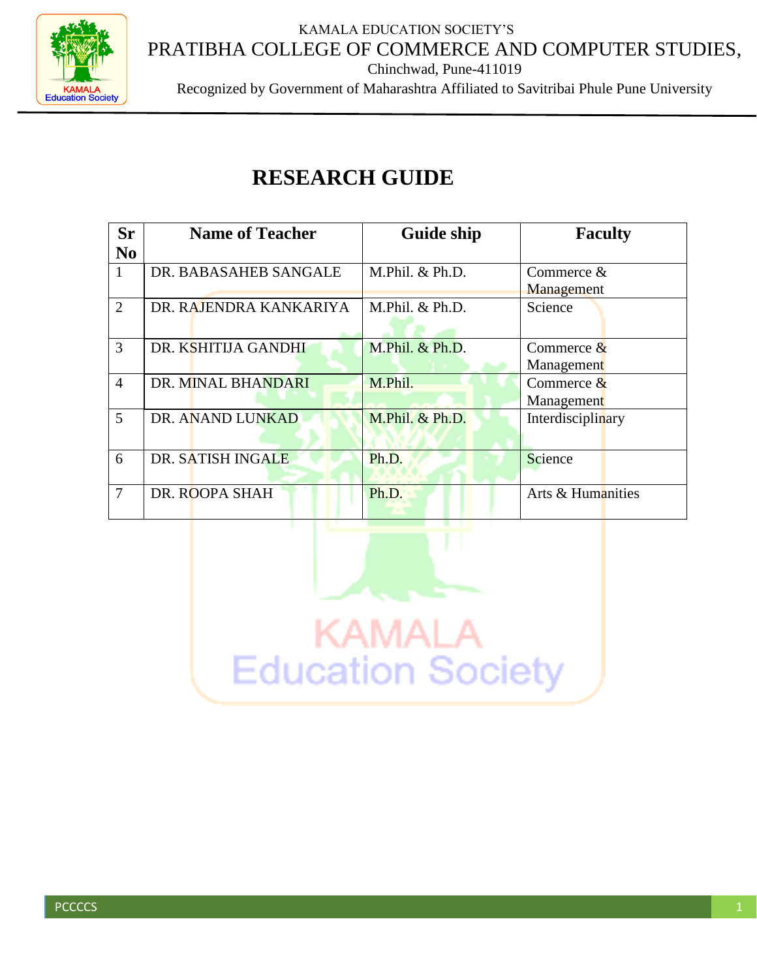KAMALA EDUCATION SOCIETY'S PRATIBHA COLLEGE OF COMMERCE AND COMPUTER STUDIES,



Chinchwad, Pune-411019

Recognized by Government of Maharashtra Affiliated to Savitribai Phule Pune University

## **RESEARCH GUIDE**

| <b>Sr</b><br>N <sub>0</sub> | <b>Name of Teacher</b> | <b>Guide ship</b> | <b>Faculty</b>             |
|-----------------------------|------------------------|-------------------|----------------------------|
| $\mathbf{1}$                | DR. BABASAHEB SANGALE  | M.Phil. & Ph.D.   | Commerce &<br>Management   |
| $\overline{2}$              | DR. RAJENDRA KANKARIYA | M.Phil. & Ph.D.   | Science                    |
| 3                           | DR. KSHITIJA GANDHI    | M.Phil. & Ph.D.   | Commerce $&$<br>Management |
| $\overline{4}$              | DR. MINAL BHANDARI     | M.Phil.           | Commerce $&$<br>Management |
| 5                           | DR. ANAND LUNKAD       | M.Phil. & Ph.D.   | Interdisciplinary          |
| 6                           | DR. SATISH INGALE      | Ph.D.             | Science                    |
| $\overline{7}$              | DR. ROOPA SHAH         | Ph.D.             | Arts & Humanities          |